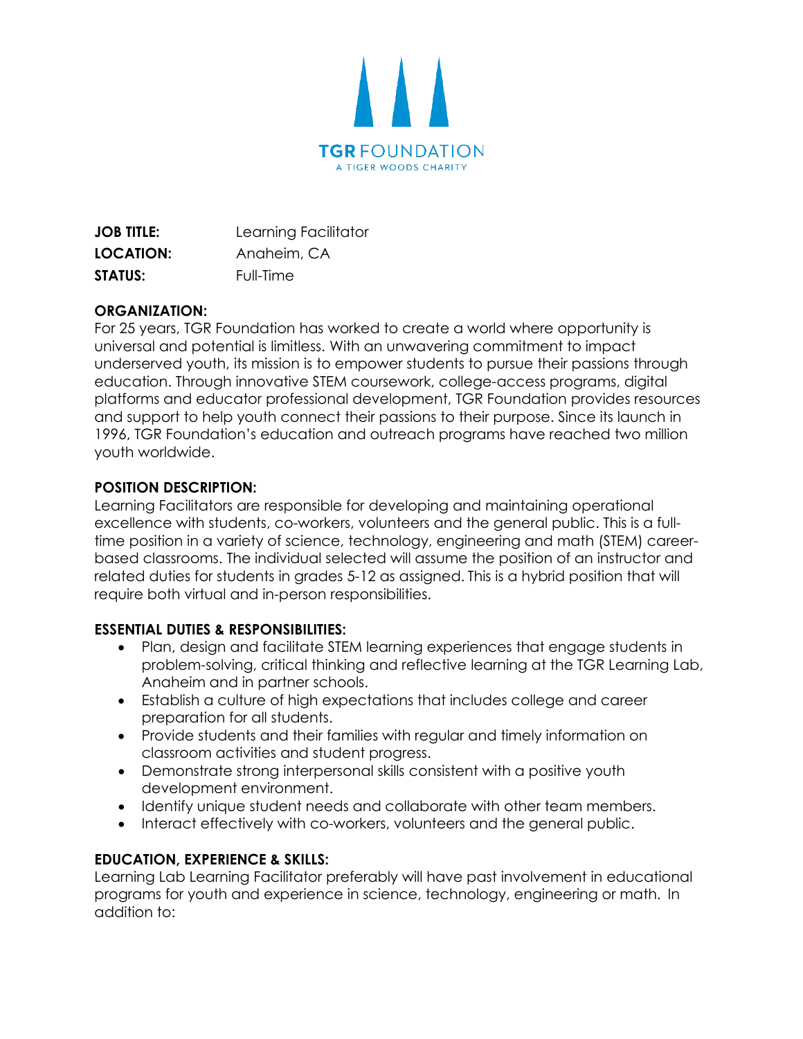

| <b>JOB TITLE:</b> | Learning Facilitator |
|-------------------|----------------------|
| LOCATION:         | Anaheim, CA          |
| <b>STATUS:</b>    | Full-Time            |

# **ORGANIZATION:**

For 25 years, TGR Foundation has worked to create a world where opportunity is universal and potential is limitless. With an unwavering commitment to impact underserved youth, its mission is to empower students to pursue their passions through education. Through innovative STEM coursework, college-access programs, digital platforms and educator professional development, TGR Foundation provides resources and support to help youth connect their passions to their purpose. Since its launch in 1996, TGR Foundation's education and outreach programs have reached two million youth worldwide.

## **POSITION DESCRIPTION:**

Learning Facilitators are responsible for developing and maintaining operational excellence with students, co-workers, volunteers and the general public. This is a fulltime position in a variety of science, technology, engineering and math (STEM) careerbased classrooms. The individual selected will assume the position of an instructor and related duties for students in grades 5-12 as assigned. This is a hybrid position that will require both virtual and in-person responsibilities.

## **ESSENTIAL DUTIES & RESPONSIBILITIES:**

- Plan, design and facilitate STEM learning experiences that engage students in problem-solving, critical thinking and reflective learning at the TGR Learning Lab, Anaheim and in partner schools.
- Establish a culture of high expectations that includes college and career preparation for all students.
- Provide students and their families with regular and timely information on classroom activities and student progress.
- Demonstrate strong interpersonal skills consistent with a positive youth development environment.
- Identify unique student needs and collaborate with other team members.
- Interact effectively with co-workers, volunteers and the general public.

## **EDUCATION, EXPERIENCE & SKILLS:**

Learning Lab Learning Facilitator preferably will have past involvement in educational programs for youth and experience in science, technology, engineering or math. In addition to: